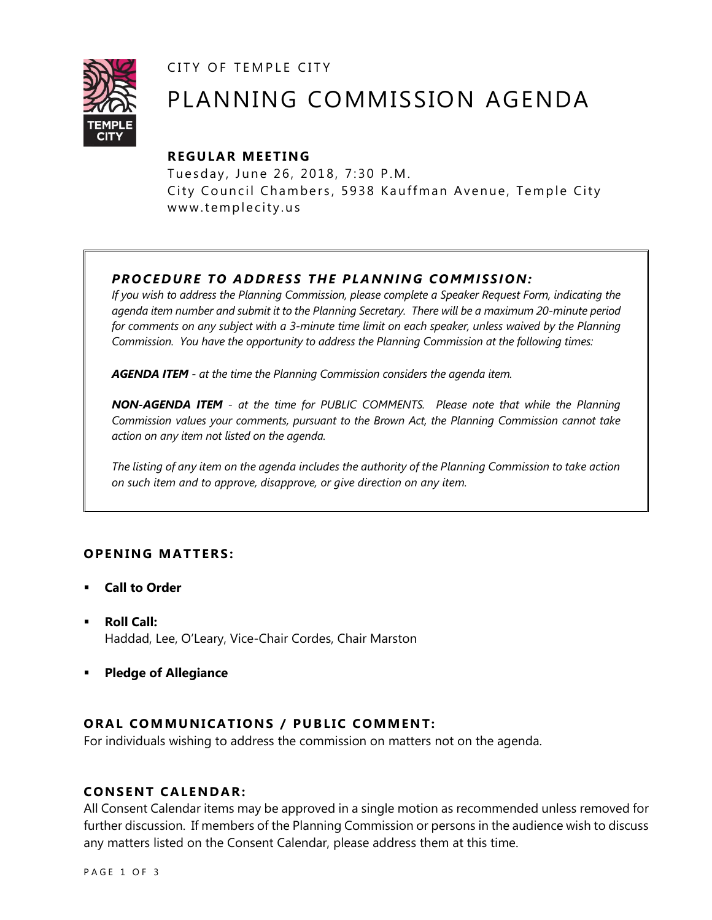CITY OF TEMPLE CITY



# PLANNING COMMISSION AGENDA

# **R EGULA R MEE TING**

Tuesday, June 26, 2018, 7:30 P.M. City Council Chambers, 5938 Kauffman Avenue, Temple City www.templecity.us

# *PRO CE DURE TO ADDRE SS THE P LA NNI NG COMM I SSION:*

*If you wish to address the Planning Commission, please complete a Speaker Request Form, indicating the agenda item number and submit it to the Planning Secretary. There will be a maximum 20-minute period*  for comments on any subject with a 3-minute time limit on each speaker, unless waived by the Planning *Commission. You have the opportunity to address the Planning Commission at the following times:*

*AGENDA ITEM - at the time the Planning Commission considers the agenda item.*

*NON-AGENDA ITEM - at the time for PUBLIC COMMENTS. Please note that while the Planning Commission values your comments, pursuant to the Brown Act, the Planning Commission cannot take action on any item not listed on the agenda.*

*The listing of any item on the agenda includes the authority of the Planning Commission to take action on such item and to approve, disapprove, or give direction on any item.*

# **OPENING MATTERS:**

- **Call to Order**
- **Roll Call:** Haddad, Lee, O'Leary, Vice-Chair Cordes, Chair Marston
- **Pledge of Allegiance**

# **ORAL COMMUNICATIONS / PUBLIC COMMENT:**

For individuals wishing to address the commission on matters not on the agenda.

## **CONSENT CA LENDAR:**

All Consent Calendar items may be approved in a single motion as recommended unless removed for further discussion. If members of the Planning Commission or persons in the audience wish to discuss any matters listed on the Consent Calendar, please address them at this time.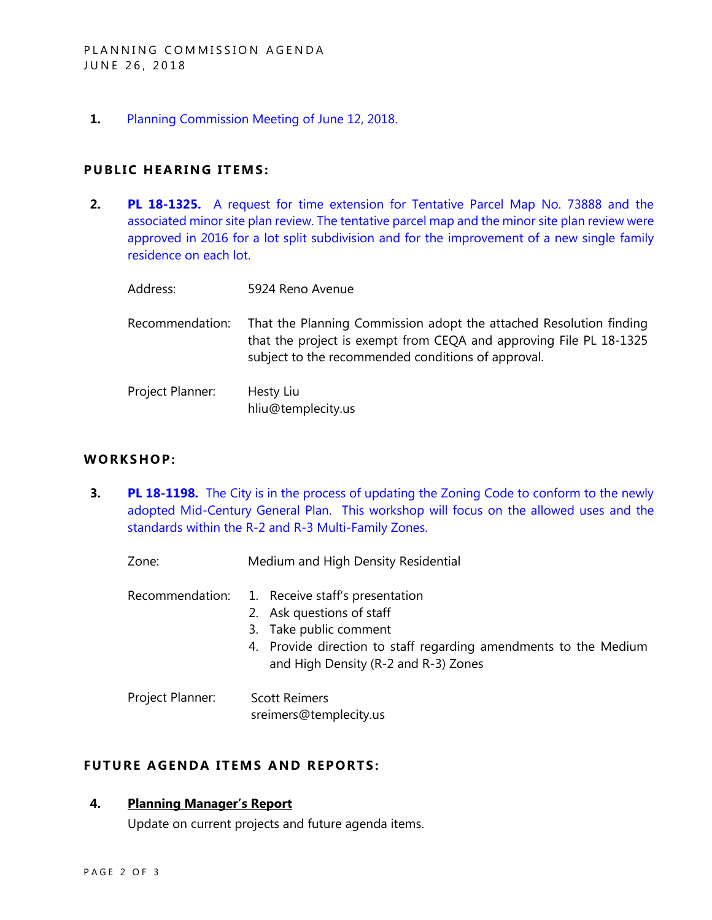**1.** [Planning Commission Meeting of June 12, 2018.](http://www.ci.temple-city.ca.us/DocumentCenter/View/10601/Item-1-Planning-Commission-Minutes-June-12-2018-Draft)

#### **PUBLIC HEARING ITEMS:**

**2. PL 18-1325.** [A request for time extension for Tentative Parcel Map No. 73888 and the](http://www.ci.temple-city.ca.us/DocumentCenter/View/10602/Item-2-PL-18-1325-5726-Reno-Avenue-Time-Exitension-Request-for-TPM-73888)  [associated minor site plan review. The tentative parcel map and the minor site plan review were](http://www.ci.temple-city.ca.us/DocumentCenter/View/10602/Item-2-PL-18-1325-5726-Reno-Avenue-Time-Exitension-Request-for-TPM-73888)  [approved in 2016 for a lot split subdivision and for the improvement of a new single family](http://www.ci.temple-city.ca.us/DocumentCenter/View/10602/Item-2-PL-18-1325-5726-Reno-Avenue-Time-Exitension-Request-for-TPM-73888)  [residence on each lot.](http://www.ci.temple-city.ca.us/DocumentCenter/View/10602/Item-2-PL-18-1325-5726-Reno-Avenue-Time-Exitension-Request-for-TPM-73888)

| Address:         | 5924 Reno Avenue                                                                                                                                                                               |
|------------------|------------------------------------------------------------------------------------------------------------------------------------------------------------------------------------------------|
| Recommendation:  | That the Planning Commission adopt the attached Resolution finding<br>that the project is exempt from CEQA and approving File PL 18-1325<br>subject to the recommended conditions of approval. |
| Project Planner: | Hesty Liu<br>hliu@templecity.us                                                                                                                                                                |

# **WORKS HOP:**

**3. PL 18-1198.** The City is in the process of updating the Zoning Code to conform to the newly [adopted Mid-Century General Plan. This workshop will focus on the allowed uses and the](http://www.ci.temple-city.ca.us/DocumentCenter/View/10603/Item-3-Zoning-Code-Update-R-2-and-R-3-Zones)  [standards within the R-2 and R-3](http://www.ci.temple-city.ca.us/DocumentCenter/View/10603/Item-3-Zoning-Code-Update-R-2-and-R-3-Zones) Multi-Family Zones.

Zone: Medium and High Density Residential

- Recommendation: 1. Receive staff's presentation
	- 2. Ask questions of staff
		- 3. Take public comment
		- 4. Provide direction to staff regarding amendments to the Medium and High Density (R-2 and R-3) Zones

Project Planner: Scott Reimers sreimers@templecity.us

# **FUTURE AGENDA ITEMS AND REPORTS:**

### **4. Planning Manager's Report**

Update on current projects and future agenda items.